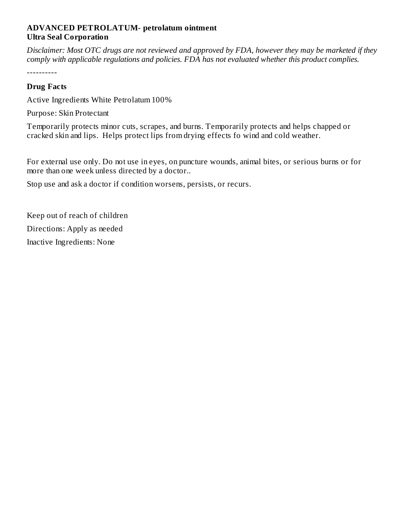### **ADVANCED PETROLATUM- petrolatum ointment Ultra Seal Corporation**

Disclaimer: Most OTC drugs are not reviewed and approved by FDA, however they may be marketed if they *comply with applicable regulations and policies. FDA has not evaluated whether this product complies.*

----------

#### **Drug Facts**

Active Ingredients White Petrolatum 100%

Purpose: Skin Protectant

Temporarily protects minor cuts, scrapes, and burns. Temporarily protects and helps chapped or cracked skin and lips. Helps protect lips from drying effects fo wind and cold weather.

For external use only. Do not use in eyes, on puncture wounds, animal bites, or serious burns or for more than one week unless directed by a doctor..

Stop use and ask a doctor if condition worsens, persists, or recurs.

Keep out of reach of children Directions: Apply as needed Inactive Ingredients: None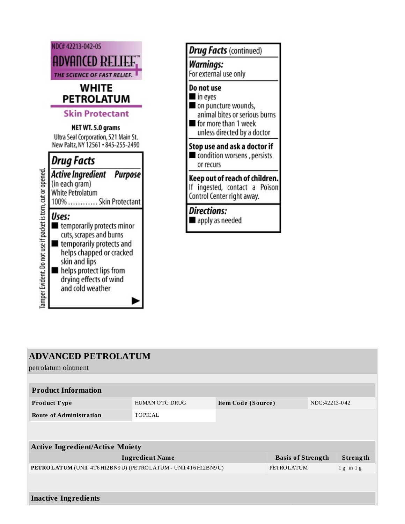

| <b>Drug Facts</b> (continued)                                                                                                        |
|--------------------------------------------------------------------------------------------------------------------------------------|
| Warnings:<br>For external use only                                                                                                   |
| Do not use<br>in eyes<br>on puncture wounds,<br>animal bites or serious burns<br>for more than 1 week<br>unless directed by a doctor |
| Stop use and ask a doctor if<br>condition worsens, persists<br>or recurs                                                             |
| Keep out of reach of children.<br>ingested, contact a Poison<br>Control Center right away.                                           |
| <b>Directions:</b><br>apply as needed                                                                                                |
|                                                                                                                                      |

| <b>ADVANCED PETROLATUM</b><br>petrolatum ointment              |                       |                    |                          |               |                 |
|----------------------------------------------------------------|-----------------------|--------------------|--------------------------|---------------|-----------------|
|                                                                |                       |                    |                          |               |                 |
| <b>Product Information</b>                                     |                       |                    |                          |               |                 |
| Product Type                                                   | <b>HUMAN OTC DRUG</b> | Item Code (Source) |                          | NDC:42213-042 |                 |
| <b>Route of Administration</b>                                 | <b>TOPICAL</b>        |                    |                          |               |                 |
|                                                                |                       |                    |                          |               |                 |
|                                                                |                       |                    |                          |               |                 |
| <b>Active Ingredient/Active Moiety</b>                         |                       |                    |                          |               |                 |
| <b>Ingredient Name</b>                                         |                       |                    | <b>Basis of Strength</b> |               | <b>Strength</b> |
| PETROLATUM (UNII: 4T6 H12BN9U) (PETROLATUM - UNII:4T6 H12BN9U) |                       |                    | PETROLATUM               |               | $1 g$ in $1 g$  |
|                                                                |                       |                    |                          |               |                 |
| <b>Inactive Ingredients</b>                                    |                       |                    |                          |               |                 |